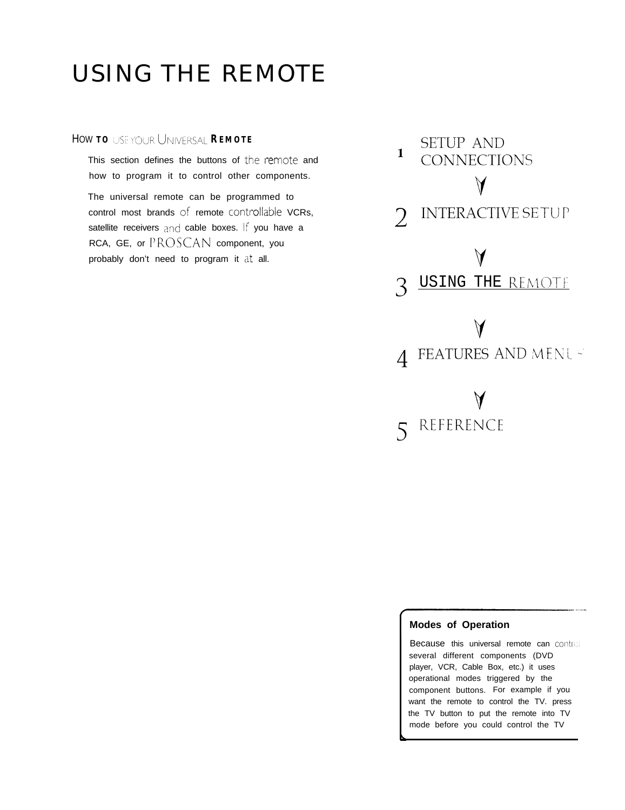## **HOW TO** USE YOUR UNIVERSAL **REMOTE**

This section defines the buttons of the remote and how to program it to control other components.

The universal remote can be programmed to control most brands of remote controllable VCRs, satellite receivers and cable boxes. If you have a RCA, GE, or PROSCAN component, you probably don't need to program it at all.



### **<sup>I</sup> Modes of Operation**

Because this universal remote can control several different components (DVD player, VCR, Cable Box, etc.) it uses operational modes triggered by the component buttons. For example if you want the remote to control the TV. press the TV button to put the remote into TV mode before you could control the TV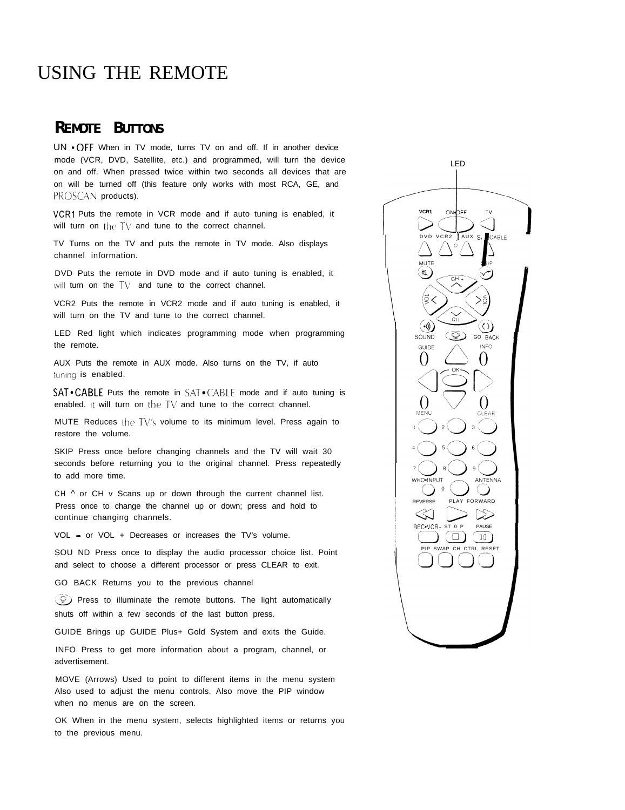## **REMOTE BUTTONS**

UN • OFF When in TV mode, turns TV on and off. If in another device mode (VCR, DVD, Satellite, etc.) and programmed, will turn the device on and off. When pressed twice within two seconds all devices that are on will be turned off (this feature only works with most RCA, GE, and PROSCAN products).

VCR1 Puts the remote in VCR mode and if auto tuning is enabled, it will turn on the TV and tune to the correct channel.

TV Turns on the TV and puts the remote in TV mode. Also displays channel information.

DVD Puts the remote in DVD mode and if auto tuning is enabled, it will turn on the TV and tune to the correct channel.

VCR2 Puts the remote in VCR2 mode and if auto tuning is enabled, it will turn on the TV and tune to the correct channel.

LED Red light which indicates programming mode when programming the remote.

AUX Puts the remote in AUX mode. Also turns on the TV, if auto tuning is enabled.

**SAT • CABLE** Puts the remote in SAT • CABLE mode and if auto tuning is enabled. it will turn on the TV and tune to the correct channel.

MUTE Reduces the TV's volume to its minimum level. Press again to restore the volume.

SKIP Press once before changing channels and the TV will wait 30 seconds before returning you to the original channel. Press repeatedly to add more time.

CH  $\wedge$  or CH v Scans up or down through the current channel list. Press once to change the channel up or down; press and hold to continue changing channels.

VOL - or VOL + Decreases or increases the TV's volume.

SOU ND Press once to display the audio processor choice list. Point and select to choose a different processor or press CLEAR to exit.

GO BACK Returns you to the previous channel

**a** Press to illuminate the remote buttons. The light automatically shuts off within a few seconds of the last button press.

GUIDE Brings up GUIDE Plus+ Gold System and exits the Guide.

INFO Press to get more information about a program, channel, or advertisement.

MOVE (Arrows) Used to point to different items in the menu system Also used to adjust the menu controls. Also move the PIP window when no menus are on the screen.

OK When in the menu system, selects highlighted items or returns you to the previous menu.

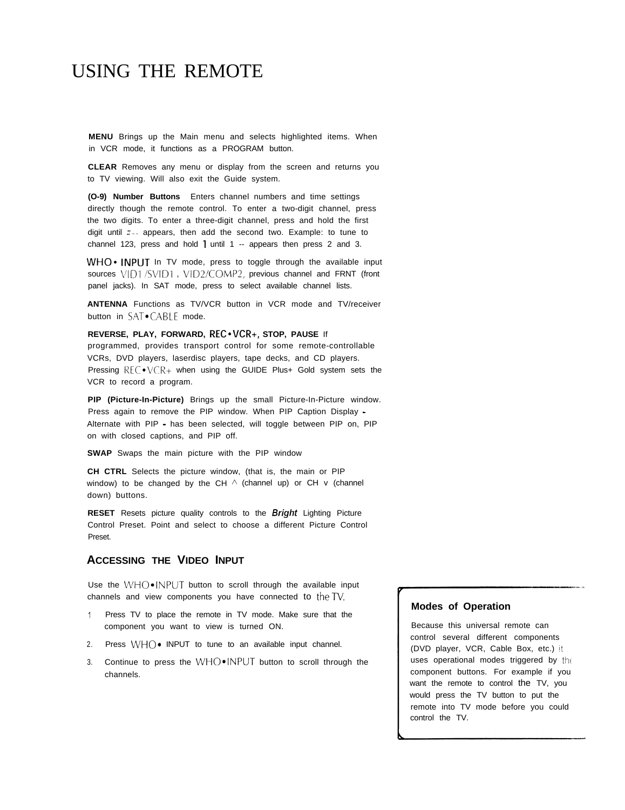**MENU** Brings up the Main menu and selects highlighted items. When in VCR mode, it functions as a PROGRAM button.

**CLEAR** Removes any menu or display from the screen and returns you to TV viewing. Will also exit the Guide system.

**(O-9) Number Buttons** Enters channel numbers and time settings directly though the remote control. To enter a two-digit channel, press the two digits. To enter a three-digit channel, press and hold the first digit until  $\pi$ -- appears, then add the second two. Example: to tune to channel 123, press and hold 1 until 1 -- appears then press 2 and 3.

**WHO\*** INPUT In TV mode, press to toggle through the available input sources VID1 /SVID1, VID2/COMP2, previous channel and FRNT (front panel jacks). In SAT mode, press to select available channel lists.

**ANTENNA** Functions as TV/VCR button in VCR mode and TV/receiver button in SAT.CABLE mode.

#### **REVERSE, PLAY, FORWARD, REC. VCR+, STOP, PAUSE If**

programmed, provides transport control for some remote-controllable VCRs, DVD players, laserdisc players, tape decks, and CD players. Pressing  $\mathbb{R} \in \mathbb{C}$   $\cdot \sqrt{\mathbb{R}}$  when using the GUIDE Plus+ Gold system sets the VCR to record a program.

**PIP (Picture-In-Picture)** Brings up the small Picture-In-Picture window. Press again to remove the PIP window. When PIP Caption Display - Alternate with PIP - has been selected, will toggle between PIP on, PIP on with closed captions, and PIP off.

**SWAP** Swaps the main picture with the PIP window

**CH CTRL** Selects the picture window, (that is, the main or PIP window) to be changed by the CH  $\land$  (channel up) or CH v (channel down) buttons.

**RESET** Resets picture quality controls to the **Bright** Lighting Picture Control Preset. Point and select to choose a different Picture Control Preset.

### **ACCESSING THE VIDEO INPUT**

Use the  $WHO\square/NPUT$  button to scroll through the available input channels and view components you have connected to theTV.

- <sup>1</sup> Press TV to place the remote in TV mode. Make sure that the component you want to view is turned ON.
- 2. Press  $WHO\bullet$  INPUT to tune to an available input channel.
- 3. Continue to press the WHO $\bullet$  INPUT button to scroll through the channels.

#### **Modes of Operation**

Because this universal remote can control several different components (DVD player, VCR, Cable Box, etc.) it uses operational modes triggered by the component buttons. For example if you want the remote to control the TV, you would press the TV button to put the remote into TV mode before you could control the TV.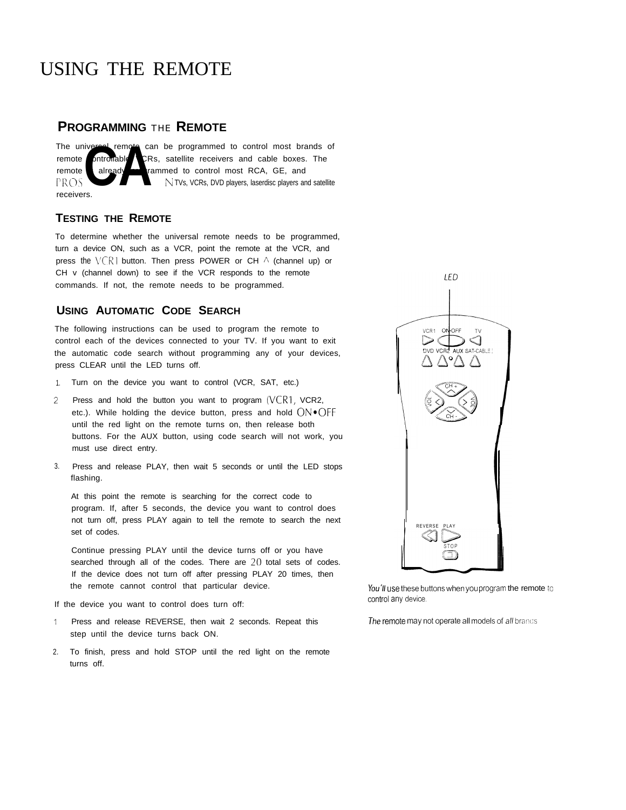## **PROGRAMMING** THE **REMOTE**

The universal remote can be programmed to control most brands of remote controllable CRs, satellite receivers and cable boxes. The<br>I'm interest and the control most RCA, GE, and<br>I'MUX, VCRs, DVD players, laserdisc players and satellite remote already **programmed** to control most RCA, GE, and receivers.

#### **TESTING THE REMOTE**

To determine whether the universal remote needs to be programmed, turn a device ON, such as a VCR, point the remote at the VCR, and press the  $\sqrt{CR}$ 1 button. Then press POWER or CH  $\land$  (channel up) or CH v (channel down) to see if the VCR responds to the remote commands. If not, the remote needs to be programmed.

### **USING AUTOMATIC CODE SEARCH**

The following instructions can be used to program the remote to control each of the devices connected to your TV. If you want to exit the automatic code search without programming any of your devices, press CLEAR until the LED turns off.

- 1. Turn on the device you want to control (VCR, SAT, etc.)
- 2 Press and hold the button you want to program  $(VER1, VCR2,$ etc.). While holding the device button, press and hold  $ON*OFF$ until the red light on the remote turns on, then release both buttons. For the AUX button, using code search will not work, you must use direct entry.
- 3. Press and release PLAY, then wait 5 seconds or until the LED stops flashing.

At this point the remote is searching for the correct code to program. If, after 5 seconds, the device you want to control does not turn off, press PLAY again to tell the remote to search the next set of codes.

Continue pressing PLAY until the device turns off or you have searched through all of the codes. There are  $20$  total sets of codes. If the device does not turn off after pressing PLAY 20 times, then the remote cannot control that particular device.

If the device you want to control does turn off:

- <sup>1</sup> Press and release REVERSE, then wait 2 seconds. Repeat this step until the device turns back ON.
- 2. To finish, press and hold STOP until the red light on the remote turns off.



You'll use these buttons when you program the remote to control any device.

The remote may not operate all models of all brands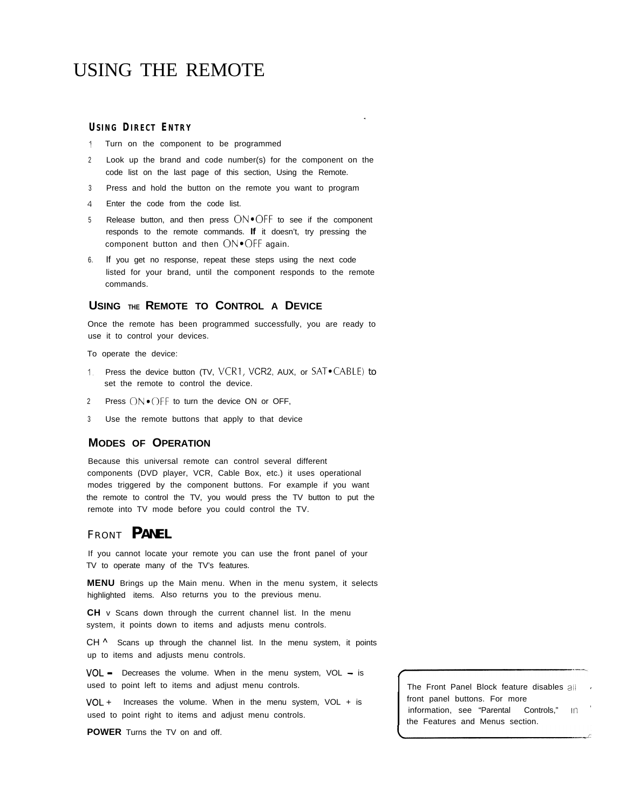#### **USING DIRECT ENTRY**

- <sup>1</sup> Turn on the component to be programmed
- <sup>2</sup> Look up the brand and code number(s) for the component on the code list on the last page of this section, Using the Remote.

.

- <sup>3</sup> Press and hold the button on the remote you want to program
- 4 Enter the code from the code list.
- 5 Release button, and then press  $ON*OFF$  to see if the component responds to the remote commands. **If** it doesn't, try pressing the component button and then **ON\*OFF** again.
- 6. If you get no response, repeat these steps using the next code listed for your brand, until the component responds to the remote commands.

#### **USING THE REMOTE TO CONTROL A DEVICE**

Once the remote has been programmed successfully, you are ready to use it to control your devices.

To operate the device:

- 1. Press the device button (TV, VCR1, VCR2, AUX, or SAT. CABLE) to set the remote to control the device.
- 2 Press  $ON\bullet$  OFF to turn the device ON or OFF,
- <sup>3</sup> Use the remote buttons that apply to that device

### **MODES OF OPERATION**

Because this universal remote can control several different components (DVD player, VCR, Cable Box, etc.) it uses operational modes triggered by the component buttons. For example if you want the remote to control the TV, you would press the TV button to put the remote into TV mode before you could control the TV.

## <sup>F</sup>RONT **PANEL**

If you cannot locate your remote you can use the front panel of your TV to operate many of the TV's features.

**MENU** Brings up the Main menu. When in the menu system, it selects highlighted items. Also returns you to the previous menu.

**CH** v Scans down through the current channel list. In the menu system, it points down to items and adjusts menu controls.

CH ^ Scans up through the channel list. In the menu system, it points up to items and adjusts menu controls.

**VOL** - Decreases the volume. When in the menu system, VOL - is used to point left to items and adjust menu controls. The Front Panel Block feature disables all

 $VOL +$  Increases the volume. When in the menu system,  $VOL + is$ used to point right to items and adjust menu controls.

**POWER** Turns the TV on and off.

front panel buttons. For more information, see "Parental Controls," in the Features and Menus section.